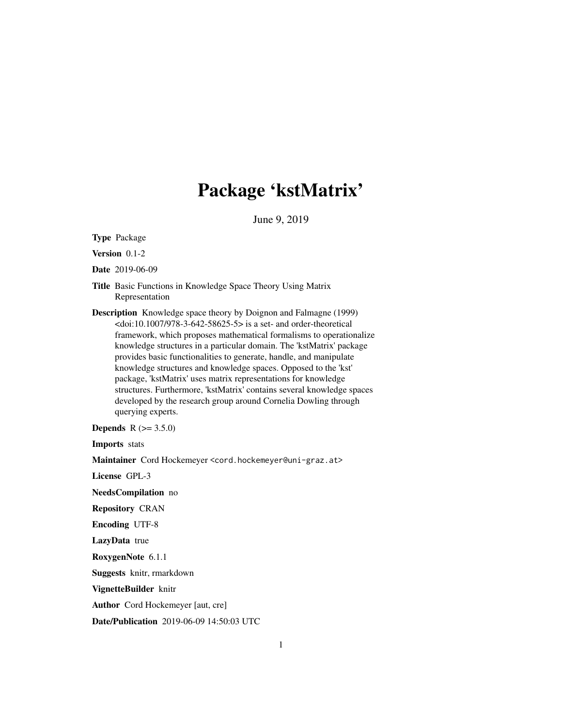# Package 'kstMatrix'

June 9, 2019

Type Package

Version 0.1-2

Date 2019-06-09

- Title Basic Functions in Knowledge Space Theory Using Matrix Representation
- Description Knowledge space theory by Doignon and Falmagne (1999)  $\langle \text{doi:10.1007/978-3-642-58625-5}\rangle$  is a set- and order-theoretical framework, which proposes mathematical formalisms to operationalize knowledge structures in a particular domain. The 'kstMatrix' package provides basic functionalities to generate, handle, and manipulate knowledge structures and knowledge spaces. Opposed to the 'kst' package, 'kstMatrix' uses matrix representations for knowledge structures. Furthermore, 'kstMatrix' contains several knowledge spaces developed by the research group around Cornelia Dowling through querying experts.

**Depends** R  $(>= 3.5.0)$ 

Imports stats

Maintainer Cord Hockemeyer <cord.hockemeyer@uni-graz.at>

License GPL-3

NeedsCompilation no

Repository CRAN

Encoding UTF-8

LazyData true

RoxygenNote 6.1.1

Suggests knitr, rmarkdown

VignetteBuilder knitr

Author Cord Hockemeyer [aut, cre]

Date/Publication 2019-06-09 14:50:03 UTC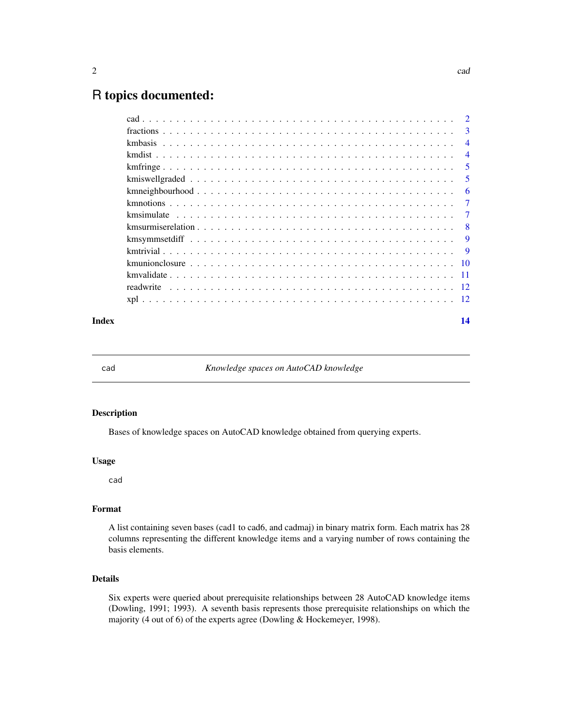# <span id="page-1-0"></span>R topics documented:

|  | 3              |
|--|----------------|
|  | $\overline{4}$ |
|  | $\overline{4}$ |
|  | -5             |
|  | 5              |
|  | 6              |
|  | 7              |
|  | $\overline{7}$ |
|  | -8             |
|  | 9              |
|  | - 9            |
|  |                |
|  |                |
|  |                |
|  |                |
|  |                |

#### **Index** 2008 **[14](#page-13-0)**

cad *Knowledge spaces on AutoCAD knowledge*

#### Description

Bases of knowledge spaces on AutoCAD knowledge obtained from querying experts.

#### Usage

cad

#### Format

A list containing seven bases (cad1 to cad6, and cadmaj) in binary matrix form. Each matrix has 28 columns representing the different knowledge items and a varying number of rows containing the basis elements.

#### Details

Six experts were queried about prerequisite relationships between 28 AutoCAD knowledge items (Dowling, 1991; 1993). A seventh basis represents those prerequisite relationships on which the majority (4 out of 6) of the experts agree (Dowling & Hockemeyer, 1998).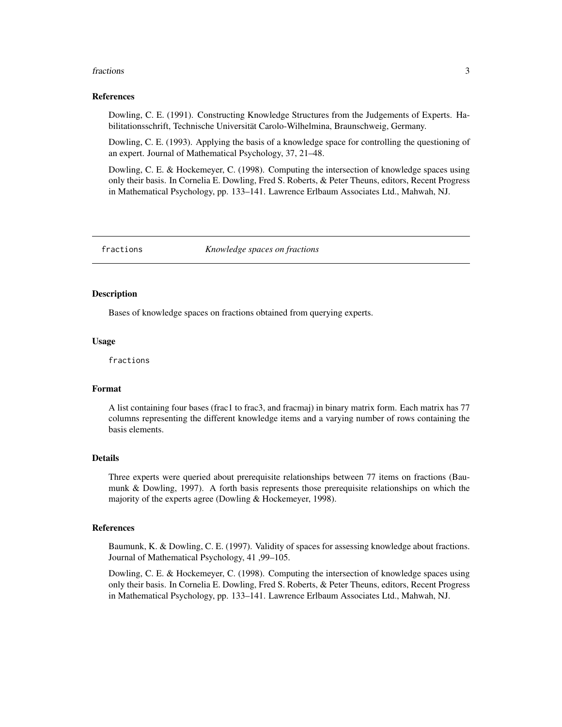#### <span id="page-2-0"></span>fractions 3

#### References

Dowling, C. E. (1991). Constructing Knowledge Structures from the Judgements of Experts. Habilitationsschrift, Technische Universität Carolo-Wilhelmina, Braunschweig, Germany.

Dowling, C. E. (1993). Applying the basis of a knowledge space for controlling the questioning of an expert. Journal of Mathematical Psychology, 37, 21–48.

Dowling, C. E. & Hockemeyer, C. (1998). Computing the intersection of knowledge spaces using only their basis. In Cornelia E. Dowling, Fred S. Roberts, & Peter Theuns, editors, Recent Progress in Mathematical Psychology, pp. 133–141. Lawrence Erlbaum Associates Ltd., Mahwah, NJ.

fractions *Knowledge spaces on fractions*

#### **Description**

Bases of knowledge spaces on fractions obtained from querying experts.

#### Usage

fractions

#### Format

A list containing four bases (frac1 to frac3, and fracmaj) in binary matrix form. Each matrix has 77 columns representing the different knowledge items and a varying number of rows containing the basis elements.

#### Details

Three experts were queried about prerequisite relationships between 77 items on fractions (Baumunk & Dowling, 1997). A forth basis represents those prerequisite relationships on which the majority of the experts agree (Dowling & Hockemeyer, 1998).

#### References

Baumunk, K. & Dowling, C. E. (1997). Validity of spaces for assessing knowledge about fractions. Journal of Mathematical Psychology, 41 ,99–105.

Dowling, C. E. & Hockemeyer, C. (1998). Computing the intersection of knowledge spaces using only their basis. In Cornelia E. Dowling, Fred S. Roberts, & Peter Theuns, editors, Recent Progress in Mathematical Psychology, pp. 133–141. Lawrence Erlbaum Associates Ltd., Mahwah, NJ.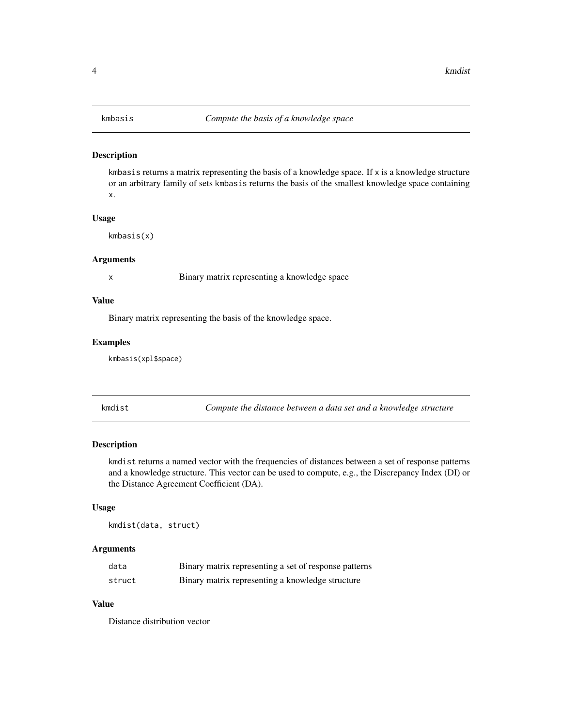<span id="page-3-0"></span>kmbasis returns a matrix representing the basis of a knowledge space. If  $x$  is a knowledge structure or an arbitrary family of sets kmbasis returns the basis of the smallest knowledge space containing x.

#### Usage

kmbasis(x)

#### Arguments

x Binary matrix representing a knowledge space

#### Value

Binary matrix representing the basis of the knowledge space.

#### Examples

kmbasis(xpl\$space)

kmdist *Compute the distance between a data set and a knowledge structure*

#### Description

kmdist returns a named vector with the frequencies of distances between a set of response patterns and a knowledge structure. This vector can be used to compute, e.g., the Discrepancy Index (DI) or the Distance Agreement Coefficient (DA).

#### Usage

kmdist(data, struct)

#### Arguments

| data   | Binary matrix representing a set of response patterns |
|--------|-------------------------------------------------------|
| struct | Binary matrix representing a knowledge structure      |

#### Value

Distance distribution vector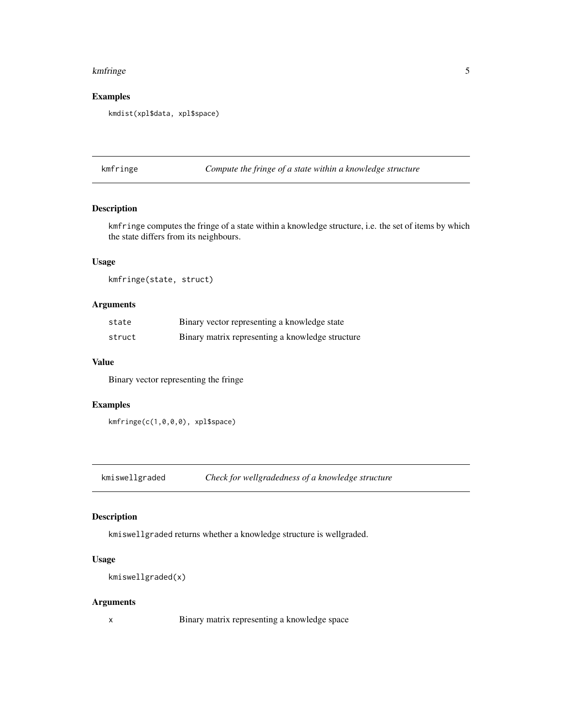#### <span id="page-4-0"></span>kmfringe 55 September 1988 September 1988 September 1988 September 1988 September 1988 September 1988 Septembe

#### Examples

kmdist(xpl\$data, xpl\$space)

kmfringe *Compute the fringe of a state within a knowledge structure*

#### Description

kmfringe computes the fringe of a state within a knowledge structure, i.e. the set of items by which the state differs from its neighbours.

#### Usage

kmfringe(state, struct)

#### Arguments

| state  | Binary vector representing a knowledge state     |
|--------|--------------------------------------------------|
| struct | Binary matrix representing a knowledge structure |

#### Value

Binary vector representing the fringe

#### Examples

```
kmfringe(c(1,0,0,0), xpl$space)
```
kmiswellgraded *Check for wellgradedness of a knowledge structure*

#### Description

kmiswellgraded returns whether a knowledge structure is wellgraded.

#### Usage

```
kmiswellgraded(x)
```
#### Arguments

x Binary matrix representing a knowledge space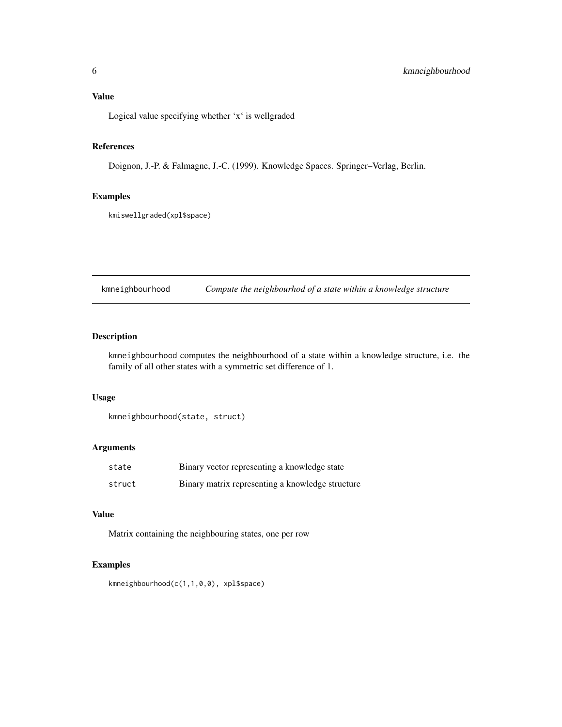## <span id="page-5-0"></span>Value

Logical value specifying whether 'x' is wellgraded

### References

Doignon, J.-P. & Falmagne, J.-C. (1999). Knowledge Spaces. Springer–Verlag, Berlin.

#### Examples

kmiswellgraded(xpl\$space)

kmneighbourhood *Compute the neighbourhod of a state within a knowledge structure*

#### Description

kmneighbourhood computes the neighbourhood of a state within a knowledge structure, i.e. the family of all other states with a symmetric set difference of 1.

#### Usage

```
kmneighbourhood(state, struct)
```
#### Arguments

| state  | Binary vector representing a knowledge state     |
|--------|--------------------------------------------------|
| struct | Binary matrix representing a knowledge structure |

## Value

Matrix containing the neighbouring states, one per row

#### Examples

kmneighbourhood(c(1,1,0,0), xpl\$space)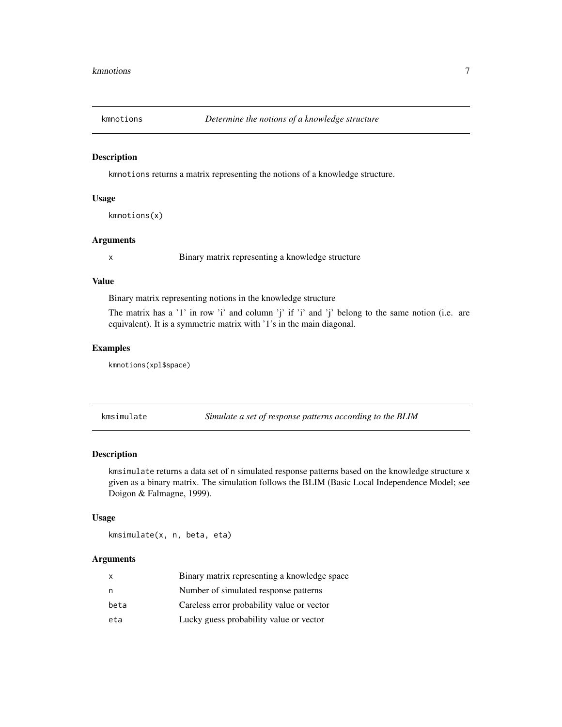<span id="page-6-0"></span>

kmnotions returns a matrix representing the notions of a knowledge structure.

#### Usage

```
kmnotions(x)
```
#### Arguments

x Binary matrix representing a knowledge structure

#### Value

Binary matrix representing notions in the knowledge structure

The matrix has a '1' in row 'i' and column 'j' if 'i' and 'j' belong to the same notion (i.e. are equivalent). It is a symmetric matrix with '1's in the main diagonal.

#### Examples

kmnotions(xpl\$space)

kmsimulate *Simulate a set of response patterns according to the BLIM*

#### Description

kmsimulate returns a data set of n simulated response patterns based on the knowledge structure x given as a binary matrix. The simulation follows the BLIM (Basic Local Independence Model; see Doigon & Falmagne, 1999).

#### Usage

kmsimulate(x, n, beta, eta)

#### **Arguments**

| x    | Binary matrix representing a knowledge space |
|------|----------------------------------------------|
| n    | Number of simulated response patterns        |
| beta | Careless error probability value or vector   |
| eta  | Lucky guess probability value or vector      |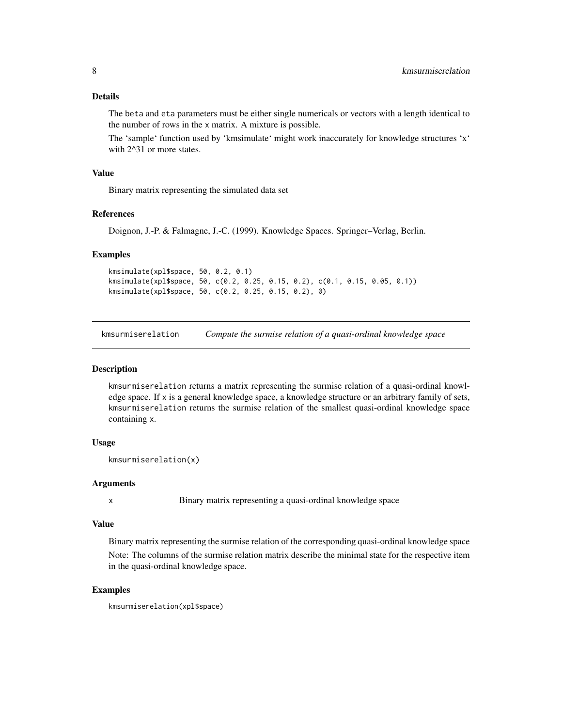#### <span id="page-7-0"></span>Details

The beta and eta parameters must be either single numericals or vectors with a length identical to the number of rows in the x matrix. A mixture is possible.

The 'sample' function used by 'kmsimulate' might work inaccurately for knowledge structures 'x' with 2<sup> $\land$ </sup>31 or more states.

#### Value

Binary matrix representing the simulated data set

#### References

Doignon, J.-P. & Falmagne, J.-C. (1999). Knowledge Spaces. Springer–Verlag, Berlin.

#### Examples

kmsimulate(xpl\$space, 50, 0.2, 0.1) kmsimulate(xpl\$space, 50, c(0.2, 0.25, 0.15, 0.2), c(0.1, 0.15, 0.05, 0.1)) kmsimulate(xpl\$space, 50, c(0.2, 0.25, 0.15, 0.2), 0)

kmsurmiserelation *Compute the surmise relation of a quasi-ordinal knowledge space*

#### **Description**

kmsurmiserelation returns a matrix representing the surmise relation of a quasi-ordinal knowledge space. If x is a general knowledge space, a knowledge structure or an arbitrary family of sets, kmsurmiserelation returns the surmise relation of the smallest quasi-ordinal knowledge space containing x.

#### Usage

```
kmsurmiserelation(x)
```
#### Arguments

x Binary matrix representing a quasi-ordinal knowledge space

#### Value

Binary matrix representing the surmise relation of the corresponding quasi-ordinal knowledge space Note: The columns of the surmise relation matrix describe the minimal state for the respective item in the quasi-ordinal knowledge space.

#### Examples

kmsurmiserelation(xpl\$space)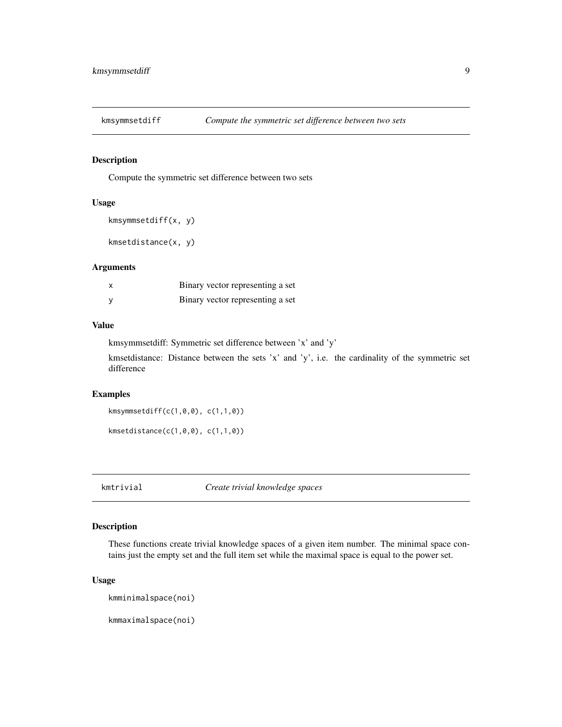<span id="page-8-0"></span>

Compute the symmetric set difference between two sets

#### Usage

```
kmsymmsetdiff(x, y)
```
kmsetdistance(x, y)

#### Arguments

| Binary vector representing a set |
|----------------------------------|
| Binary vector representing a set |

#### Value

kmsymmsetdiff: Symmetric set difference between 'x' and 'y'

kmsetdistance: Distance between the sets 'x' and 'y', i.e. the cardinality of the symmetric set difference

#### Examples

kmsymmsetdiff(c(1,0,0), c(1,1,0))

kmsetdistance(c(1,0,0), c(1,1,0))

kmtrivial *Create trivial knowledge spaces*

#### Description

These functions create trivial knowledge spaces of a given item number. The minimal space contains just the empty set and the full item set while the maximal space is equal to the power set.

#### Usage

kmminimalspace(noi)

kmmaximalspace(noi)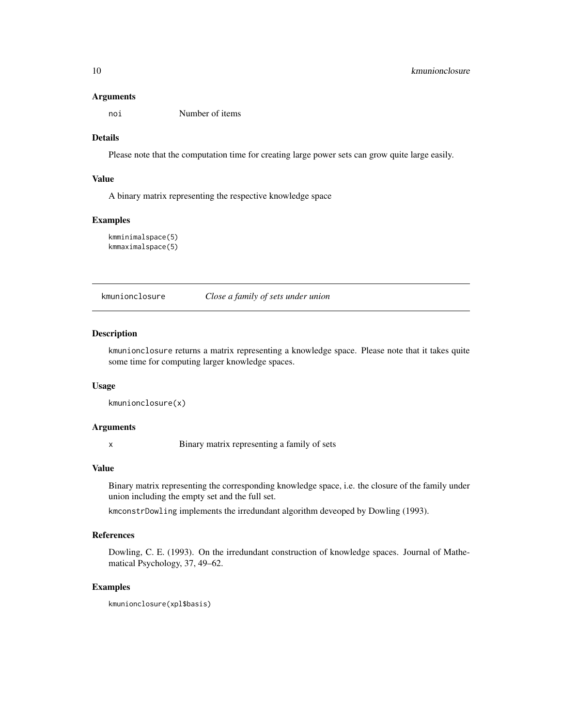#### <span id="page-9-0"></span>Arguments

noi Number of items

#### Details

Please note that the computation time for creating large power sets can grow quite large easily.

#### Value

A binary matrix representing the respective knowledge space

#### Examples

kmminimalspace(5) kmmaximalspace(5)

kmunionclosure *Close a family of sets under union*

#### Description

kmunionclosure returns a matrix representing a knowledge space. Please note that it takes quite some time for computing larger knowledge spaces.

#### Usage

```
kmunionclosure(x)
```
#### Arguments

x Binary matrix representing a family of sets

#### Value

Binary matrix representing the corresponding knowledge space, i.e. the closure of the family under union including the empty set and the full set.

kmconstrDowling implements the irredundant algorithm deveoped by Dowling (1993).

#### References

Dowling, C. E. (1993). On the irredundant construction of knowledge spaces. Journal of Mathematical Psychology, 37, 49–62.

### Examples

kmunionclosure(xpl\$basis)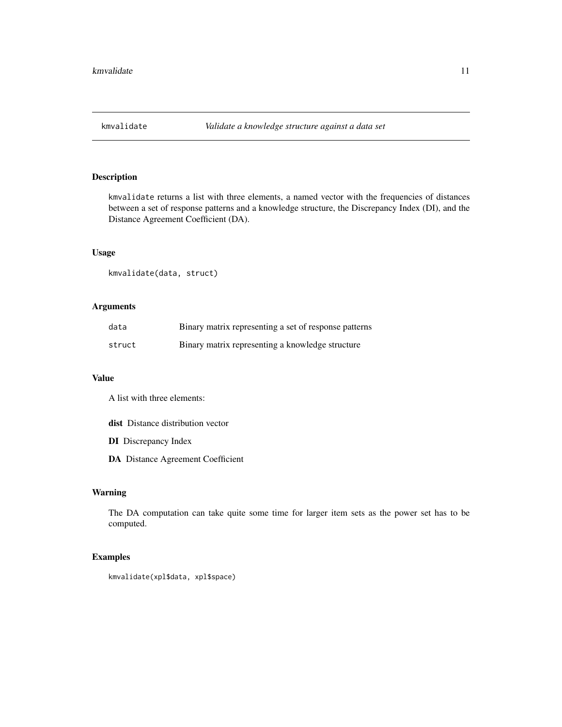<span id="page-10-0"></span>

kmvalidate returns a list with three elements, a named vector with the frequencies of distances between a set of response patterns and a knowledge structure, the Discrepancy Index (DI), and the Distance Agreement Coefficient (DA).

#### Usage

kmvalidate(data, struct)

#### Arguments

| data   | Binary matrix representing a set of response patterns |
|--------|-------------------------------------------------------|
| struct | Binary matrix representing a knowledge structure      |

#### Value

A list with three elements:

dist Distance distribution vector

- DI Discrepancy Index
- DA Distance Agreement Coefficient

#### Warning

The DA computation can take quite some time for larger item sets as the power set has to be computed.

#### Examples

kmvalidate(xpl\$data, xpl\$space)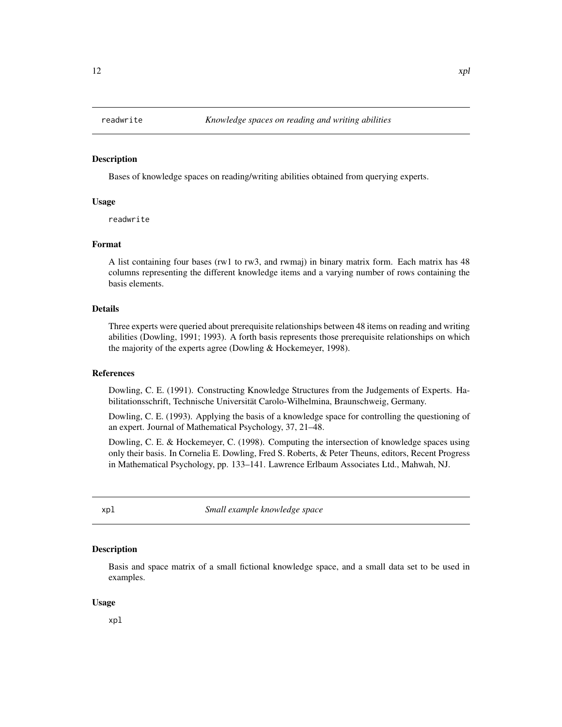<span id="page-11-0"></span>

Bases of knowledge spaces on reading/writing abilities obtained from querying experts.

#### Usage

readwrite

#### Format

A list containing four bases (rw1 to rw3, and rwmaj) in binary matrix form. Each matrix has 48 columns representing the different knowledge items and a varying number of rows containing the basis elements.

#### Details

Three experts were queried about prerequisite relationships between 48 items on reading and writing abilities (Dowling, 1991; 1993). A forth basis represents those prerequisite relationships on which the majority of the experts agree (Dowling & Hockemeyer, 1998).

#### References

Dowling, C. E. (1991). Constructing Knowledge Structures from the Judgements of Experts. Habilitationsschrift, Technische Universität Carolo-Wilhelmina, Braunschweig, Germany.

Dowling, C. E. (1993). Applying the basis of a knowledge space for controlling the questioning of an expert. Journal of Mathematical Psychology, 37, 21–48.

Dowling, C. E. & Hockemeyer, C. (1998). Computing the intersection of knowledge spaces using only their basis. In Cornelia E. Dowling, Fred S. Roberts, & Peter Theuns, editors, Recent Progress in Mathematical Psychology, pp. 133–141. Lawrence Erlbaum Associates Ltd., Mahwah, NJ.

xpl *Small example knowledge space*

#### **Description**

Basis and space matrix of a small fictional knowledge space, and a small data set to be used in examples.

#### Usage

xpl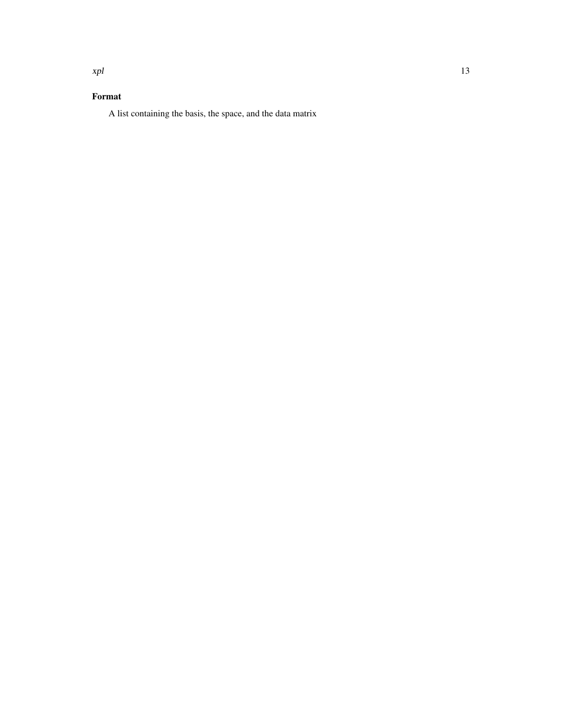## Format

A list containing the basis, the space, and the data matrix